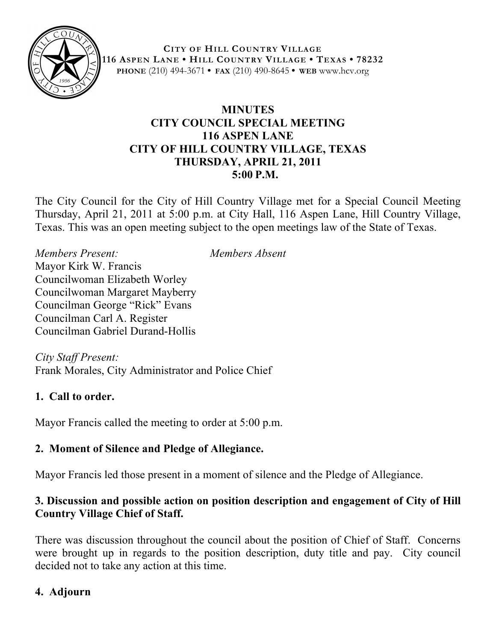

**CITY OF HILL COUNTRY VILLAGE 116 ASPEN LANE • HILL COUNTRY VILLAGE • TEXAS • 78232 PHONE** (210) 494-3671 **• FAX** (210) 490-8645 **• WEB** www.hcv.org

### **MINUTES CITY COUNCIL SPECIAL MEETING 116 ASPEN LANE CITY OF HILL COUNTRY VILLAGE, TEXAS THURSDAY, APRIL 21, 2011 5:00 P.M.**

The City Council for the City of Hill Country Village met for a Special Council Meeting Thursday, April 21, 2011 at 5:00 p.m. at City Hall, 116 Aspen Lane, Hill Country Village, Texas. This was an open meeting subject to the open meetings law of the State of Texas.

*Members Present: Members Absent* Mayor Kirk W. Francis Councilwoman Elizabeth Worley Councilwoman Margaret Mayberry Councilman George "Rick" Evans Councilman Carl A. Register Councilman Gabriel Durand-Hollis

*City Staff Present:* Frank Morales, City Administrator and Police Chief

# **1. Call to order.**

Mayor Francis called the meeting to order at 5:00 p.m.

# **2. Moment of Silence and Pledge of Allegiance.**

Mayor Francis led those present in a moment of silence and the Pledge of Allegiance.

### **3. Discussion and possible action on position description and engagement of City of Hill Country Village Chief of Staff.**

There was discussion throughout the council about the position of Chief of Staff. Concerns were brought up in regards to the position description, duty title and pay. City council decided not to take any action at this time.

# **4. Adjourn**